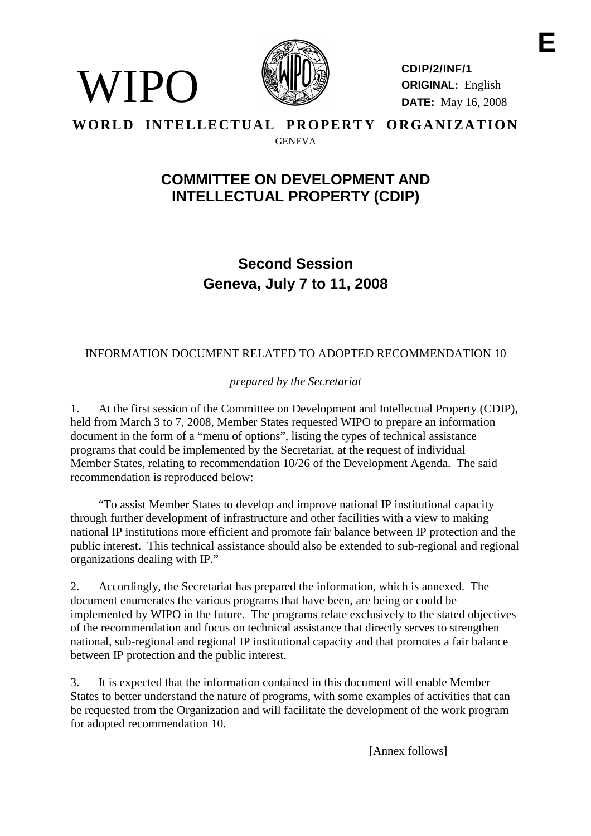

WIPO

**CDIP/2/INF/1 ORIGINAL:** English **DATE:** May 16, 2008

#### **WORLD INTELLECTUAL PROPERTY ORGANIZATION GENEVA**

## **COMMITTEE ON DEVELOPMENT AND INTELLECTUAL PROPERTY (CDIP)**

**Second Session Geneva, July 7 to 11, 2008**

### INFORMATION DOCUMENT RELATED TO ADOPTED RECOMMENDATION 10

*prepared by the Secretariat*

1. At the first session of the Committee on Development and Intellectual Property (CDIP), held from March 3 to 7, 2008, Member States requested WIPO to prepare an information document in the form of a "menu of options", listing the types of technical assistance programs that could be implemented by the Secretariat, at the request of individual Member States, relating to recommendation 10/26 of the Development Agenda. The said recommendation is reproduced below:

"To assist Member States to develop and improve national IP institutional capacity through further development of infrastructure and other facilities with a view to making national IP institutions more efficient and promote fair balance between IP protection and the public interest. This technical assistance should also be extended to sub-regional and regional organizations dealing with IP."

2. Accordingly, the Secretariat has prepared the information, which is annexed. The document enumerates the various programs that have been, are being or could be implemented by WIPO in the future. The programs relate exclusively to the stated objectives of the recommendation and focus on technical assistance that directly serves to strengthen national, sub-regional and regional IP institutional capacity and that promotes a fair balance between IP protection and the public interest.

3. It is expected that the information contained in this document will enable Member States to better understand the nature of programs, with some examples of activities that can be requested from the Organization and will facilitate the development of the work program for adopted recommendation 10.

[Annex follows]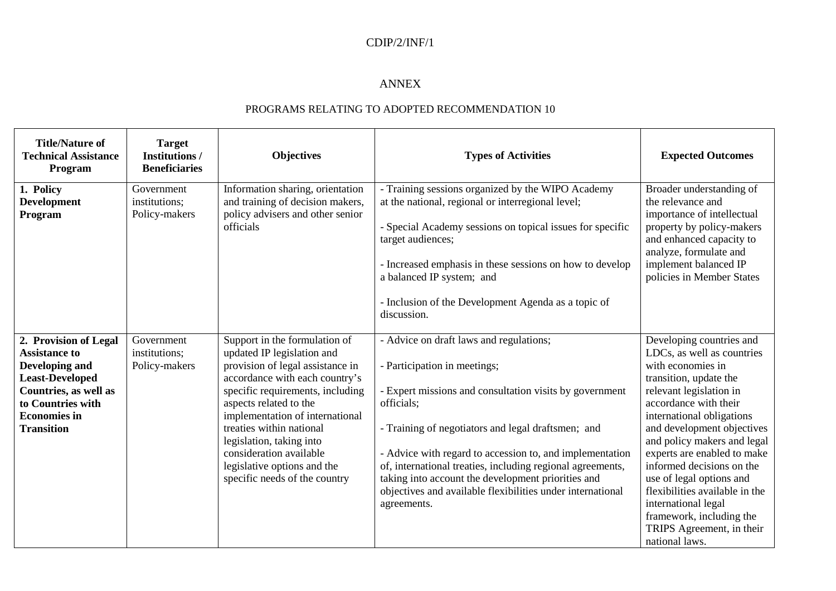#### ANNEX

| <b>Title/Nature of</b><br><b>Technical Assistance</b><br>Program                                                                                                                    | <b>Target</b><br><b>Institutions /</b><br><b>Beneficiaries</b> | <b>Objectives</b>                                                                                                                                                                                                                                                                                                                                                                     | <b>Types of Activities</b>                                                                                                                                                                                                                                                                                                                                                                                                                                          | <b>Expected Outcomes</b>                                                                                                                                                                                                                                                                                                                                                                                                                                                        |
|-------------------------------------------------------------------------------------------------------------------------------------------------------------------------------------|----------------------------------------------------------------|---------------------------------------------------------------------------------------------------------------------------------------------------------------------------------------------------------------------------------------------------------------------------------------------------------------------------------------------------------------------------------------|---------------------------------------------------------------------------------------------------------------------------------------------------------------------------------------------------------------------------------------------------------------------------------------------------------------------------------------------------------------------------------------------------------------------------------------------------------------------|---------------------------------------------------------------------------------------------------------------------------------------------------------------------------------------------------------------------------------------------------------------------------------------------------------------------------------------------------------------------------------------------------------------------------------------------------------------------------------|
| 1. Policy<br><b>Development</b><br>Program                                                                                                                                          | Government<br>institutions;<br>Policy-makers                   | Information sharing, orientation<br>and training of decision makers,<br>policy advisers and other senior<br>officials                                                                                                                                                                                                                                                                 | - Training sessions organized by the WIPO Academy<br>at the national, regional or interregional level;<br>- Special Academy sessions on topical issues for specific<br>target audiences;<br>- Increased emphasis in these sessions on how to develop<br>a balanced IP system; and<br>- Inclusion of the Development Agenda as a topic of<br>discussion.                                                                                                             | Broader understanding of<br>the relevance and<br>importance of intellectual<br>property by policy-makers<br>and enhanced capacity to<br>analyze, formulate and<br>implement balanced IP<br>policies in Member States                                                                                                                                                                                                                                                            |
| 2. Provision of Legal<br><b>Assistance to</b><br>Developing and<br><b>Least-Developed</b><br>Countries, as well as<br>to Countries with<br><b>Economies</b> in<br><b>Transition</b> | Government<br>institutions;<br>Policy-makers                   | Support in the formulation of<br>updated IP legislation and<br>provision of legal assistance in<br>accordance with each country's<br>specific requirements, including<br>aspects related to the<br>implementation of international<br>treaties within national<br>legislation, taking into<br>consideration available<br>legislative options and the<br>specific needs of the country | - Advice on draft laws and regulations;<br>- Participation in meetings;<br>- Expert missions and consultation visits by government<br>officials;<br>- Training of negotiators and legal draftsmen; and<br>- Advice with regard to accession to, and implementation<br>of, international treaties, including regional agreements,<br>taking into account the development priorities and<br>objectives and available flexibilities under international<br>agreements. | Developing countries and<br>LDCs, as well as countries<br>with economies in<br>transition, update the<br>relevant legislation in<br>accordance with their<br>international obligations<br>and development objectives<br>and policy makers and legal<br>experts are enabled to make<br>informed decisions on the<br>use of legal options and<br>flexibilities available in the<br>international legal<br>framework, including the<br>TRIPS Agreement, in their<br>national laws. |

#### PROGRAMS RELATING TO ADOPTED RECOMMENDATION 10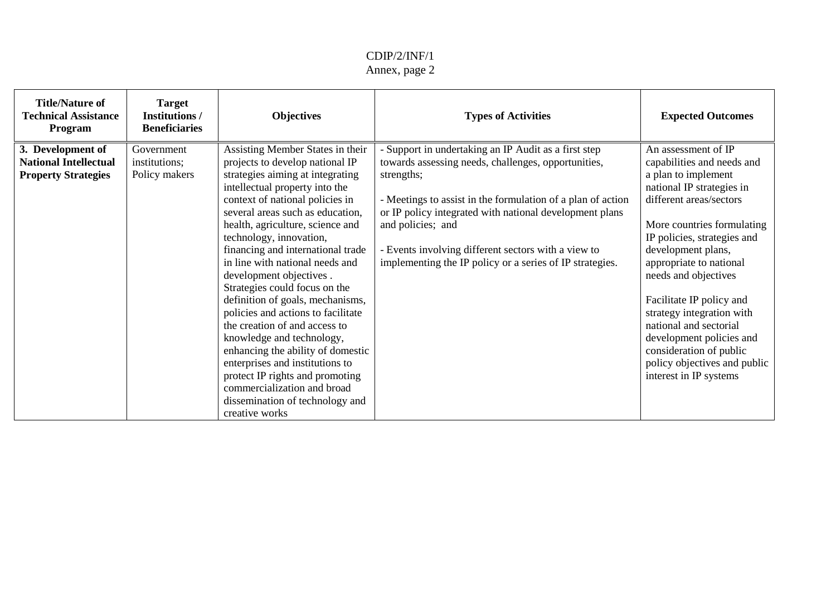### CDIP/2/INF/1 Annex, page 2

| <b>Title/Nature of</b><br><b>Technical Assistance</b><br>Program                | <b>Target</b><br><b>Institutions /</b><br><b>Beneficiaries</b> | <b>Objectives</b>                                                                                                                                                                                                                                                                                                                                                                                                                                                                                                                                                                                                                                                                                                                                          | <b>Types of Activities</b>                                                                                                                                                                                                                                                                                                                                                              | <b>Expected Outcomes</b>                                                                                                                                                                                                                                                                                                                                                                                                                                                   |
|---------------------------------------------------------------------------------|----------------------------------------------------------------|------------------------------------------------------------------------------------------------------------------------------------------------------------------------------------------------------------------------------------------------------------------------------------------------------------------------------------------------------------------------------------------------------------------------------------------------------------------------------------------------------------------------------------------------------------------------------------------------------------------------------------------------------------------------------------------------------------------------------------------------------------|-----------------------------------------------------------------------------------------------------------------------------------------------------------------------------------------------------------------------------------------------------------------------------------------------------------------------------------------------------------------------------------------|----------------------------------------------------------------------------------------------------------------------------------------------------------------------------------------------------------------------------------------------------------------------------------------------------------------------------------------------------------------------------------------------------------------------------------------------------------------------------|
| 3. Development of<br><b>National Intellectual</b><br><b>Property Strategies</b> | Government<br>institutions;<br>Policy makers                   | Assisting Member States in their<br>projects to develop national IP<br>strategies aiming at integrating<br>intellectual property into the<br>context of national policies in<br>several areas such as education,<br>health, agriculture, science and<br>technology, innovation,<br>financing and international trade<br>in line with national needs and<br>development objectives.<br>Strategies could focus on the<br>definition of goals, mechanisms,<br>policies and actions to facilitate<br>the creation of and access to<br>knowledge and technology,<br>enhancing the ability of domestic<br>enterprises and institutions to<br>protect IP rights and promoting<br>commercialization and broad<br>dissemination of technology and<br>creative works | Support in undertaking an IP Audit as a first step<br>towards assessing needs, challenges, opportunities,<br>strengths;<br>- Meetings to assist in the formulation of a plan of action<br>or IP policy integrated with national development plans<br>and policies; and<br>Events involving different sectors with a view to<br>implementing the IP policy or a series of IP strategies. | An assessment of IP<br>capabilities and needs and<br>a plan to implement<br>national IP strategies in<br>different areas/sectors<br>More countries formulating<br>IP policies, strategies and<br>development plans,<br>appropriate to national<br>needs and objectives<br>Facilitate IP policy and<br>strategy integration with<br>national and sectorial<br>development policies and<br>consideration of public<br>policy objectives and public<br>interest in IP systems |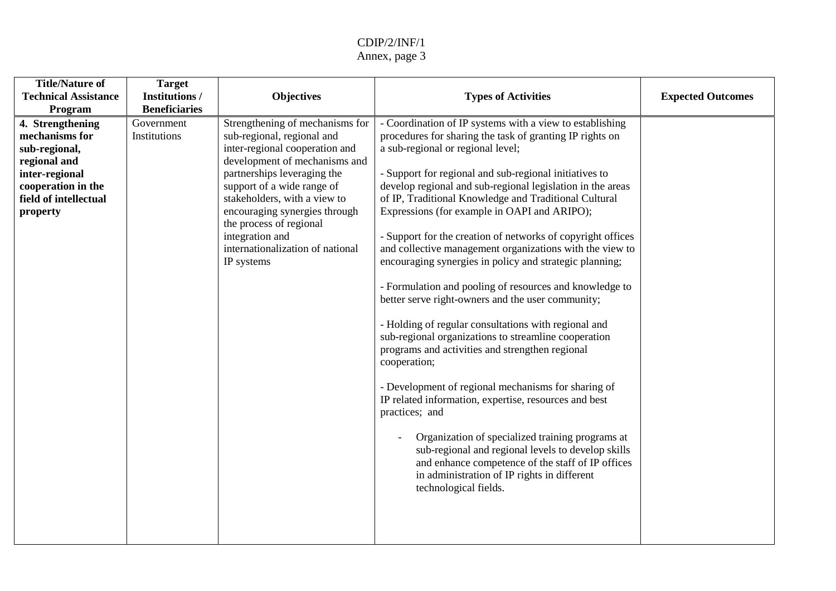| <b>Title/Nature of</b><br><b>Technical Assistance</b><br>Program                                                                                 | <b>Target</b><br><b>Institutions /</b><br><b>Beneficiaries</b> | <b>Objectives</b>                                                                                                                                                                                                                                                                                                                                              | <b>Types of Activities</b>                                                                                                                                                                                                                                                                                                                                                                                                                                                                                                                                                                                                                                                                                                                                                                                                                                                                                                                                                                                                                                                                                                                                                                                                                                   | <b>Expected Outcomes</b> |
|--------------------------------------------------------------------------------------------------------------------------------------------------|----------------------------------------------------------------|----------------------------------------------------------------------------------------------------------------------------------------------------------------------------------------------------------------------------------------------------------------------------------------------------------------------------------------------------------------|--------------------------------------------------------------------------------------------------------------------------------------------------------------------------------------------------------------------------------------------------------------------------------------------------------------------------------------------------------------------------------------------------------------------------------------------------------------------------------------------------------------------------------------------------------------------------------------------------------------------------------------------------------------------------------------------------------------------------------------------------------------------------------------------------------------------------------------------------------------------------------------------------------------------------------------------------------------------------------------------------------------------------------------------------------------------------------------------------------------------------------------------------------------------------------------------------------------------------------------------------------------|--------------------------|
| 4. Strengthening<br>mechanisms for<br>sub-regional,<br>regional and<br>inter-regional<br>cooperation in the<br>field of intellectual<br>property | Government<br>Institutions                                     | Strengthening of mechanisms for<br>sub-regional, regional and<br>inter-regional cooperation and<br>development of mechanisms and<br>partnerships leveraging the<br>support of a wide range of<br>stakeholders, with a view to<br>encouraging synergies through<br>the process of regional<br>integration and<br>internationalization of national<br>IP systems | - Coordination of IP systems with a view to establishing<br>procedures for sharing the task of granting IP rights on<br>a sub-regional or regional level;<br>- Support for regional and sub-regional initiatives to<br>develop regional and sub-regional legislation in the areas<br>of IP, Traditional Knowledge and Traditional Cultural<br>Expressions (for example in OAPI and ARIPO);<br>- Support for the creation of networks of copyright offices<br>and collective management organizations with the view to<br>encouraging synergies in policy and strategic planning;<br>- Formulation and pooling of resources and knowledge to<br>better serve right-owners and the user community;<br>- Holding of regular consultations with regional and<br>sub-regional organizations to streamline cooperation<br>programs and activities and strengthen regional<br>cooperation;<br>- Development of regional mechanisms for sharing of<br>IP related information, expertise, resources and best<br>practices; and<br>Organization of specialized training programs at<br>sub-regional and regional levels to develop skills<br>and enhance competence of the staff of IP offices<br>in administration of IP rights in different<br>technological fields. |                          |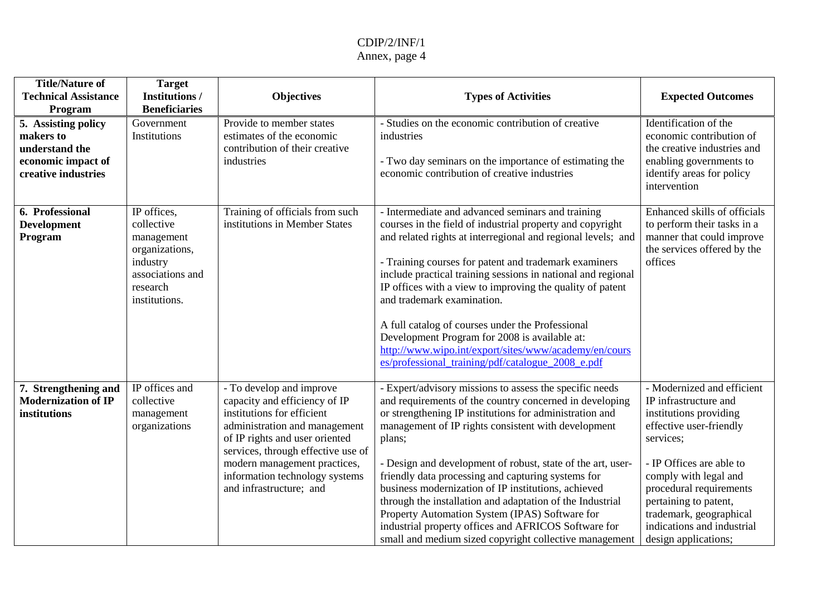| <b>Title/Nature of</b><br><b>Technical Assistance</b><br>Program                                | <b>Target</b><br><b>Institutions /</b><br><b>Beneficiaries</b>                                                         | <b>Objectives</b>                                                                                                                                                                                                                                                                             | <b>Types of Activities</b>                                                                                                                                                                                                                                                                                                                                                                                                                                                                                                                                                                                                                                  | <b>Expected Outcomes</b>                                                                                                                                                                                                                                                                                        |
|-------------------------------------------------------------------------------------------------|------------------------------------------------------------------------------------------------------------------------|-----------------------------------------------------------------------------------------------------------------------------------------------------------------------------------------------------------------------------------------------------------------------------------------------|-------------------------------------------------------------------------------------------------------------------------------------------------------------------------------------------------------------------------------------------------------------------------------------------------------------------------------------------------------------------------------------------------------------------------------------------------------------------------------------------------------------------------------------------------------------------------------------------------------------------------------------------------------------|-----------------------------------------------------------------------------------------------------------------------------------------------------------------------------------------------------------------------------------------------------------------------------------------------------------------|
| 5. Assisting policy<br>makers to<br>understand the<br>economic impact of<br>creative industries | Government<br>Institutions                                                                                             | Provide to member states<br>estimates of the economic<br>contribution of their creative<br>industries                                                                                                                                                                                         | - Studies on the economic contribution of creative<br>industries<br>- Two day seminars on the importance of estimating the<br>economic contribution of creative industries                                                                                                                                                                                                                                                                                                                                                                                                                                                                                  | Identification of the<br>economic contribution of<br>the creative industries and<br>enabling governments to<br>identify areas for policy<br>intervention                                                                                                                                                        |
| 6. Professional<br><b>Development</b><br>Program                                                | IP offices,<br>collective<br>management<br>organizations,<br>industry<br>associations and<br>research<br>institutions. | Training of officials from such<br>institutions in Member States                                                                                                                                                                                                                              | - Intermediate and advanced seminars and training<br>courses in the field of industrial property and copyright<br>and related rights at interregional and regional levels; and<br>- Training courses for patent and trademark examiners<br>include practical training sessions in national and regional<br>IP offices with a view to improving the quality of patent<br>and trademark examination.<br>A full catalog of courses under the Professional<br>Development Program for 2008 is available at:<br>http://www.wipo.int/export/sites/www/academy/en/cours<br>es/professional_training/pdf/catalogue_2008_e.pdf                                       | Enhanced skills of officials<br>to perform their tasks in a<br>manner that could improve<br>the services offered by the<br>offices                                                                                                                                                                              |
| 7. Strengthening and<br><b>Modernization of IP</b><br>institutions                              | IP offices and<br>collective<br>management<br>organizations                                                            | - To develop and improve<br>capacity and efficiency of IP<br>institutions for efficient<br>administration and management<br>of IP rights and user oriented<br>services, through effective use of<br>modern management practices,<br>information technology systems<br>and infrastructure; and | - Expert/advisory missions to assess the specific needs<br>and requirements of the country concerned in developing<br>or strengthening IP institutions for administration and<br>management of IP rights consistent with development<br>plans;<br>- Design and development of robust, state of the art, user-<br>friendly data processing and capturing systems for<br>business modernization of IP institutions, achieved<br>through the installation and adaptation of the Industrial<br>Property Automation System (IPAS) Software for<br>industrial property offices and AFRICOS Software for<br>small and medium sized copyright collective management | - Modernized and efficient<br>IP infrastructure and<br>institutions providing<br>effective user-friendly<br>services;<br>- IP Offices are able to<br>comply with legal and<br>procedural requirements<br>pertaining to patent,<br>trademark, geographical<br>indications and industrial<br>design applications; |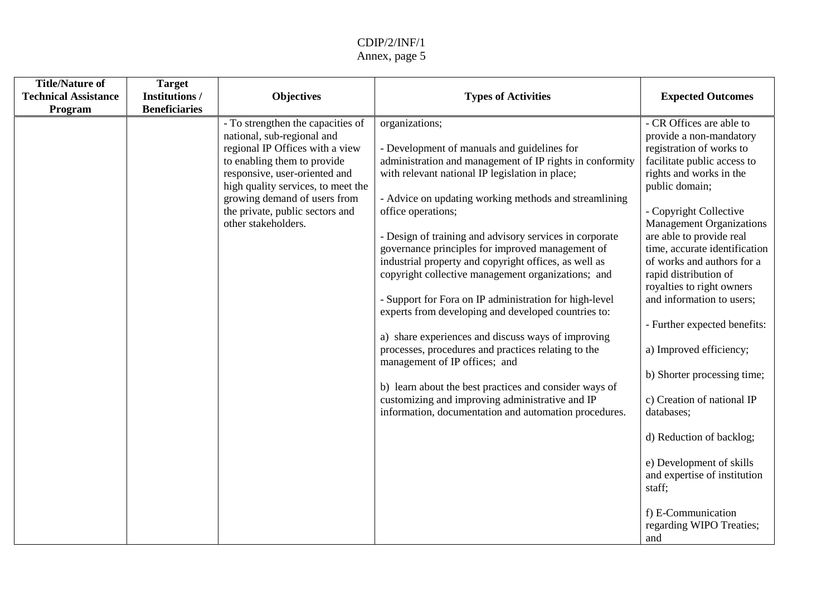| <b>Title/Nature of</b>      | <b>Target</b>        |                                                                |                                                                                                             |                                                         |
|-----------------------------|----------------------|----------------------------------------------------------------|-------------------------------------------------------------------------------------------------------------|---------------------------------------------------------|
| <b>Technical Assistance</b> | <b>Institutions/</b> | <b>Objectives</b>                                              | <b>Types of Activities</b>                                                                                  | <b>Expected Outcomes</b>                                |
| Program                     | <b>Beneficiaries</b> |                                                                |                                                                                                             |                                                         |
|                             |                      | - To strengthen the capacities of                              | organizations;                                                                                              | - CR Offices are able to                                |
|                             |                      | national, sub-regional and                                     |                                                                                                             | provide a non-mandatory                                 |
|                             |                      | regional IP Offices with a view<br>to enabling them to provide | - Development of manuals and guidelines for<br>administration and management of IP rights in conformity     | registration of works to<br>facilitate public access to |
|                             |                      | responsive, user-oriented and                                  | with relevant national IP legislation in place;                                                             | rights and works in the                                 |
|                             |                      | high quality services, to meet the                             |                                                                                                             | public domain;                                          |
|                             |                      | growing demand of users from                                   | - Advice on updating working methods and streamlining                                                       |                                                         |
|                             |                      | the private, public sectors and                                | office operations;                                                                                          | - Copyright Collective                                  |
|                             |                      | other stakeholders.                                            |                                                                                                             | <b>Management Organizations</b>                         |
|                             |                      |                                                                | - Design of training and advisory services in corporate                                                     | are able to provide real                                |
|                             |                      |                                                                | governance principles for improved management of                                                            | time, accurate identification                           |
|                             |                      |                                                                | industrial property and copyright offices, as well as<br>copyright collective management organizations; and | of works and authors for a<br>rapid distribution of     |
|                             |                      |                                                                |                                                                                                             | royalties to right owners                               |
|                             |                      |                                                                | - Support for Fora on IP administration for high-level                                                      | and information to users;                               |
|                             |                      |                                                                | experts from developing and developed countries to:                                                         |                                                         |
|                             |                      |                                                                |                                                                                                             | - Further expected benefits:                            |
|                             |                      |                                                                | a) share experiences and discuss ways of improving                                                          |                                                         |
|                             |                      |                                                                | processes, procedures and practices relating to the<br>management of IP offices; and                        | a) Improved efficiency;                                 |
|                             |                      |                                                                |                                                                                                             | b) Shorter processing time;                             |
|                             |                      |                                                                | b) learn about the best practices and consider ways of                                                      |                                                         |
|                             |                      |                                                                | customizing and improving administrative and IP                                                             | c) Creation of national IP                              |
|                             |                      |                                                                | information, documentation and automation procedures.                                                       | databases;                                              |
|                             |                      |                                                                |                                                                                                             | d) Reduction of backlog;                                |
|                             |                      |                                                                |                                                                                                             | e) Development of skills                                |
|                             |                      |                                                                |                                                                                                             | and expertise of institution                            |
|                             |                      |                                                                |                                                                                                             | staff;                                                  |
|                             |                      |                                                                |                                                                                                             | f) E-Communication                                      |
|                             |                      |                                                                |                                                                                                             | regarding WIPO Treaties;                                |
|                             |                      |                                                                |                                                                                                             | and                                                     |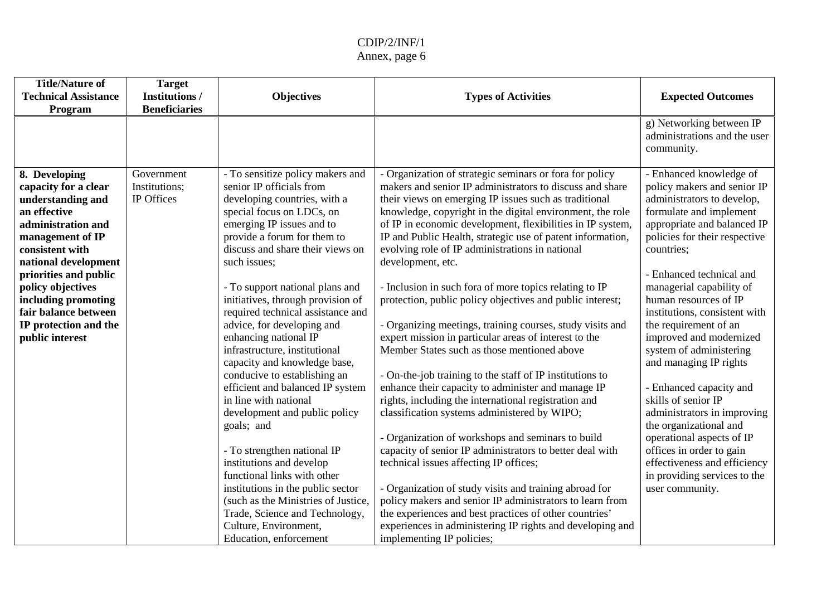| <b>Beneficiaries</b><br>community.<br>- Organization of strategic seminars or fora for policy<br>- Enhanced knowledge of<br>- To sensitize policy makers and<br>8. Developing<br>Government<br>capacity for a clear<br>Institutions;<br>senior IP officials from<br>makers and senior IP administrators to discuss and share<br>IP Offices<br>developing countries, with a<br>their views on emerging IP issues such as traditional<br>understanding and<br>special focus on LDCs, on<br>an effective<br>knowledge, copyright in the digital environment, the role                                                                                                                                                                                                                                                                                                                                                                                                                                                                                                                                                                                                                                                                                                                                                                                                                                                                                                                                                                                                                                                                                                                                                                                                                                                                                                                                                                                                                                                                                                                                                                                                                                                                     | <b>Title/Nature of</b><br><b>Technical Assistance</b><br>Program | <b>Types of Activities</b> | <b>Target</b><br><b>Institutions /</b><br><b>Objectives</b> | <b>Expected Outcomes</b>                                                                                                                                                                                                                                                                                                                                                                                                                                                                                         |
|----------------------------------------------------------------------------------------------------------------------------------------------------------------------------------------------------------------------------------------------------------------------------------------------------------------------------------------------------------------------------------------------------------------------------------------------------------------------------------------------------------------------------------------------------------------------------------------------------------------------------------------------------------------------------------------------------------------------------------------------------------------------------------------------------------------------------------------------------------------------------------------------------------------------------------------------------------------------------------------------------------------------------------------------------------------------------------------------------------------------------------------------------------------------------------------------------------------------------------------------------------------------------------------------------------------------------------------------------------------------------------------------------------------------------------------------------------------------------------------------------------------------------------------------------------------------------------------------------------------------------------------------------------------------------------------------------------------------------------------------------------------------------------------------------------------------------------------------------------------------------------------------------------------------------------------------------------------------------------------------------------------------------------------------------------------------------------------------------------------------------------------------------------------------------------------------------------------------------------------|------------------------------------------------------------------|----------------------------|-------------------------------------------------------------|------------------------------------------------------------------------------------------------------------------------------------------------------------------------------------------------------------------------------------------------------------------------------------------------------------------------------------------------------------------------------------------------------------------------------------------------------------------------------------------------------------------|
|                                                                                                                                                                                                                                                                                                                                                                                                                                                                                                                                                                                                                                                                                                                                                                                                                                                                                                                                                                                                                                                                                                                                                                                                                                                                                                                                                                                                                                                                                                                                                                                                                                                                                                                                                                                                                                                                                                                                                                                                                                                                                                                                                                                                                                        |                                                                  |                            |                                                             | g) Networking between IP<br>administrations and the user                                                                                                                                                                                                                                                                                                                                                                                                                                                         |
| of IP in economic development, flexibilities in IP system,<br>provide a forum for them to<br>IP and Public Health, strategic use of patent information,<br>management of IP<br>discuss and share their views on<br>evolving role of IP administrations in national<br>countries;<br>consistent with<br>such issues;<br>national development<br>development, etc.<br>priorities and public<br>- To support national plans and<br>- Inclusion in such fora of more topics relating to IP<br>policy objectives<br>initiatives, through provision of<br>human resources of IP<br>including promoting<br>protection, public policy objectives and public interest;<br>required technical assistance and<br>fair balance between<br>IP protection and the<br>advice, for developing and<br>- Organizing meetings, training courses, study visits and<br>the requirement of an<br>expert mission in particular areas of interest to the<br>public interest<br>enhancing national IP<br>infrastructure, institutional<br>Member States such as those mentioned above<br>capacity and knowledge base,<br>conducive to establishing an<br>- On-the-job training to the staff of IP institutions to<br>enhance their capacity to administer and manage IP<br>efficient and balanced IP system<br>in line with national<br>rights, including the international registration and<br>skills of senior IP<br>classification systems administered by WIPO;<br>development and public policy<br>goals; and<br>the organizational and<br>- Organization of workshops and seminars to build<br>capacity of senior IP administrators to better deal with<br>- To strengthen national IP<br>institutions and develop<br>technical issues affecting IP offices;<br>functional links with other<br>- Organization of study visits and training abroad for<br>institutions in the public sector<br>user community.<br>policy makers and senior IP administrators to learn from<br>(such as the Ministries of Justice,<br>the experiences and best practices of other countries'<br>Trade, Science and Technology,<br>Culture, Environment,<br>experiences in administering IP rights and developing and<br>Education, enforcement<br>implementing IP policies; | administration and                                               |                            | emerging IP issues and to                                   | policy makers and senior IP<br>administrators to develop,<br>formulate and implement<br>appropriate and balanced IP<br>policies for their respective<br>- Enhanced technical and<br>managerial capability of<br>institutions, consistent with<br>improved and modernized<br>system of administering<br>and managing IP rights<br>- Enhanced capacity and<br>administrators in improving<br>operational aspects of IP<br>offices in order to gain<br>effectiveness and efficiency<br>in providing services to the |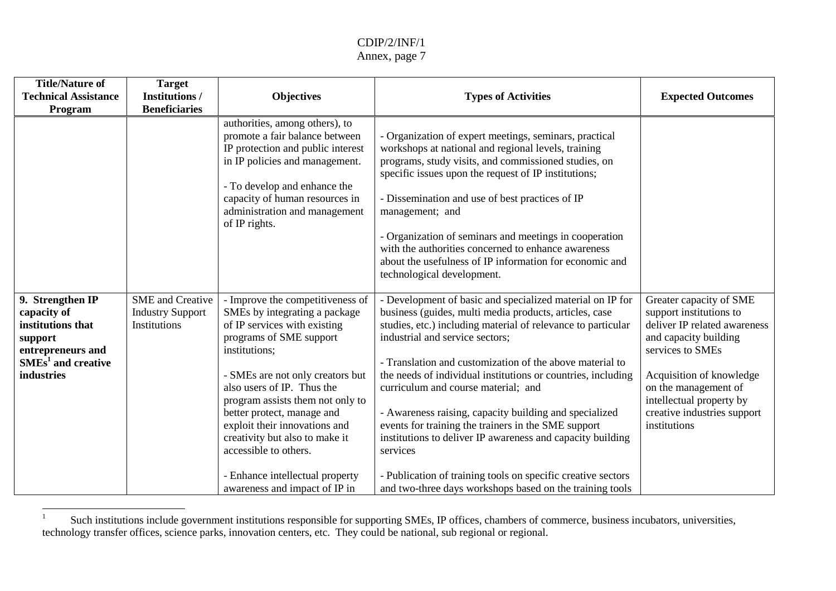#### CDIP/2/INF/1 Annex, page 7

| <b>Title/Nature of</b><br><b>Technical Assistance</b><br>Program                                                           | <b>Target</b><br><b>Institutions /</b><br><b>Beneficiaries</b>     | <b>Objectives</b>                                                                                                                                                                                                                                                                                                                                                                                                                                 | <b>Types of Activities</b>                                                                                                                                                                                                                                                                                                                                                                                                                                                                                                                                                                                                                                                                                     | <b>Expected Outcomes</b>                                                                                                                                                                                                                                       |
|----------------------------------------------------------------------------------------------------------------------------|--------------------------------------------------------------------|---------------------------------------------------------------------------------------------------------------------------------------------------------------------------------------------------------------------------------------------------------------------------------------------------------------------------------------------------------------------------------------------------------------------------------------------------|----------------------------------------------------------------------------------------------------------------------------------------------------------------------------------------------------------------------------------------------------------------------------------------------------------------------------------------------------------------------------------------------------------------------------------------------------------------------------------------------------------------------------------------------------------------------------------------------------------------------------------------------------------------------------------------------------------------|----------------------------------------------------------------------------------------------------------------------------------------------------------------------------------------------------------------------------------------------------------------|
|                                                                                                                            |                                                                    | authorities, among others), to<br>promote a fair balance between<br>IP protection and public interest<br>in IP policies and management.<br>- To develop and enhance the<br>capacity of human resources in<br>administration and management<br>of IP rights.                                                                                                                                                                                       | Organization of expert meetings, seminars, practical<br>workshops at national and regional levels, training<br>programs, study visits, and commissioned studies, on<br>specific issues upon the request of IP institutions;<br>- Dissemination and use of best practices of IP<br>management; and<br>- Organization of seminars and meetings in cooperation<br>with the authorities concerned to enhance awareness<br>about the usefulness of IP information for economic and<br>technological development.                                                                                                                                                                                                    |                                                                                                                                                                                                                                                                |
| 9. Strengthen IP<br>capacity of<br>institutions that<br>support<br>entrepreneurs and<br>$SMEs1$ and creative<br>industries | <b>SME</b> and Creative<br><b>Industry Support</b><br>Institutions | - Improve the competitiveness of<br>SMEs by integrating a package<br>of IP services with existing<br>programs of SME support<br>institutions;<br>- SMEs are not only creators but<br>also users of IP. Thus the<br>program assists them not only to<br>better protect, manage and<br>exploit their innovations and<br>creativity but also to make it<br>accessible to others.<br>- Enhance intellectual property<br>awareness and impact of IP in | Development of basic and specialized material on IP for<br>business (guides, multi media products, articles, case<br>studies, etc.) including material of relevance to particular<br>industrial and service sectors;<br>- Translation and customization of the above material to<br>the needs of individual institutions or countries, including<br>curriculum and course material; and<br>- Awareness raising, capacity building and specialized<br>events for training the trainers in the SME support<br>institutions to deliver IP awareness and capacity building<br>services<br>- Publication of training tools on specific creative sectors<br>and two-three days workshops based on the training tools | Greater capacity of SME<br>support institutions to<br>deliver IP related awareness<br>and capacity building<br>services to SMEs<br>Acquisition of knowledge<br>on the management of<br>intellectual property by<br>creative industries support<br>institutions |

 $1 -$  Such institutions include government institutions responsible for supporting SMEs, IP offices, chambers of commerce, business incubators, universities, technology transfer offices, science parks, innovation centers, etc. They could be national, sub regional or regional.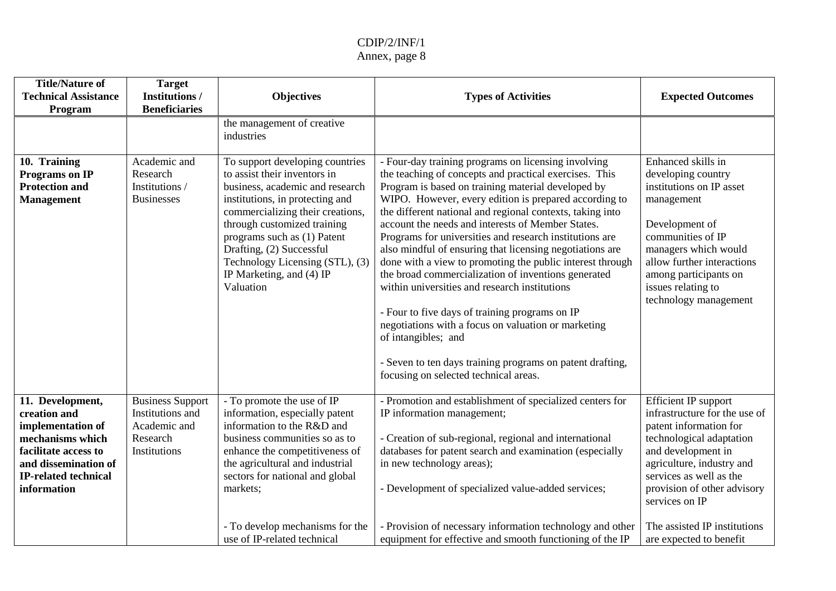| <b>Title/Nature of</b><br><b>Technical Assistance</b><br>Program                                                                                                        | <b>Target</b><br><b>Institutions /</b><br><b>Beneficiaries</b>                          | <b>Objectives</b>                                                                                                                                                                                                                                                                                                                               | <b>Types of Activities</b>                                                                                                                                                                                                                                                                                                                                                                                                                                                                                                                                                                                                                                                                                                                                                                                                                                                       | <b>Expected Outcomes</b>                                                                                                                                                                                                                                                                              |
|-------------------------------------------------------------------------------------------------------------------------------------------------------------------------|-----------------------------------------------------------------------------------------|-------------------------------------------------------------------------------------------------------------------------------------------------------------------------------------------------------------------------------------------------------------------------------------------------------------------------------------------------|----------------------------------------------------------------------------------------------------------------------------------------------------------------------------------------------------------------------------------------------------------------------------------------------------------------------------------------------------------------------------------------------------------------------------------------------------------------------------------------------------------------------------------------------------------------------------------------------------------------------------------------------------------------------------------------------------------------------------------------------------------------------------------------------------------------------------------------------------------------------------------|-------------------------------------------------------------------------------------------------------------------------------------------------------------------------------------------------------------------------------------------------------------------------------------------------------|
|                                                                                                                                                                         |                                                                                         | the management of creative<br>industries                                                                                                                                                                                                                                                                                                        |                                                                                                                                                                                                                                                                                                                                                                                                                                                                                                                                                                                                                                                                                                                                                                                                                                                                                  |                                                                                                                                                                                                                                                                                                       |
| 10. Training<br>Programs on IP<br><b>Protection and</b><br><b>Management</b>                                                                                            | Academic and<br>Research<br>Institutions /<br><b>Businesses</b>                         | To support developing countries<br>to assist their inventors in<br>business, academic and research<br>institutions, in protecting and<br>commercializing their creations,<br>through customized training<br>programs such as (1) Patent<br>Drafting, (2) Successful<br>Technology Licensing (STL), (3)<br>IP Marketing, and (4) IP<br>Valuation | - Four-day training programs on licensing involving<br>the teaching of concepts and practical exercises. This<br>Program is based on training material developed by<br>WIPO. However, every edition is prepared according to<br>the different national and regional contexts, taking into<br>account the needs and interests of Member States.<br>Programs for universities and research institutions are<br>also mindful of ensuring that licensing negotiations are<br>done with a view to promoting the public interest through<br>the broad commercialization of inventions generated<br>within universities and research institutions<br>- Four to five days of training programs on IP<br>negotiations with a focus on valuation or marketing<br>of intangibles; and<br>- Seven to ten days training programs on patent drafting,<br>focusing on selected technical areas. | Enhanced skills in<br>developing country<br>institutions on IP asset<br>management<br>Development of<br>communities of IP<br>managers which would<br>allow further interactions<br>among participants on<br>issues relating to<br>technology management                                               |
| 11. Development,<br>creation and<br>implementation of<br>mechanisms which<br>facilitate access to<br>and dissemination of<br><b>IP-related technical</b><br>information | <b>Business Support</b><br>Institutions and<br>Academic and<br>Research<br>Institutions | - To promote the use of IP<br>information, especially patent<br>information to the R&D and<br>business communities so as to<br>enhance the competitiveness of<br>the agricultural and industrial<br>sectors for national and global<br>markets;<br>- To develop mechanisms for the<br>use of IP-related technical                               | - Promotion and establishment of specialized centers for<br>IP information management;<br>- Creation of sub-regional, regional and international<br>databases for patent search and examination (especially<br>in new technology areas);<br>- Development of specialized value-added services;<br>- Provision of necessary information technology and other<br>equipment for effective and smooth functioning of the IP                                                                                                                                                                                                                                                                                                                                                                                                                                                          | Efficient IP support<br>infrastructure for the use of<br>patent information for<br>technological adaptation<br>and development in<br>agriculture, industry and<br>services as well as the<br>provision of other advisory<br>services on IP<br>The assisted IP institutions<br>are expected to benefit |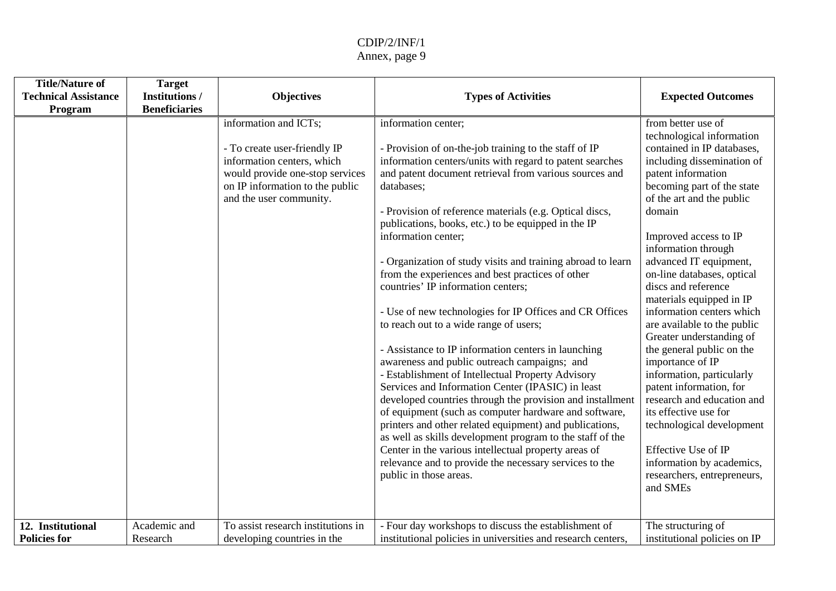| <b>Title/Nature of</b><br><b>Technical Assistance</b><br>Program | <b>Target</b><br><b>Institutions /</b><br><b>Beneficiaries</b> | <b>Objectives</b>                                                                                                                                                                    | <b>Types of Activities</b>                                                                                                                                                                                                                                                                                                                                                                                                                                                                                                                                                                                                                                                                                                                                                                                                                                                                                                                                                                                                                                                                                                                                                                                                         | <b>Expected Outcomes</b>                                                                                                                                                                                                                                                                                                                                                                                                                                                                                                                                                                                                                                                                                                                              |
|------------------------------------------------------------------|----------------------------------------------------------------|--------------------------------------------------------------------------------------------------------------------------------------------------------------------------------------|------------------------------------------------------------------------------------------------------------------------------------------------------------------------------------------------------------------------------------------------------------------------------------------------------------------------------------------------------------------------------------------------------------------------------------------------------------------------------------------------------------------------------------------------------------------------------------------------------------------------------------------------------------------------------------------------------------------------------------------------------------------------------------------------------------------------------------------------------------------------------------------------------------------------------------------------------------------------------------------------------------------------------------------------------------------------------------------------------------------------------------------------------------------------------------------------------------------------------------|-------------------------------------------------------------------------------------------------------------------------------------------------------------------------------------------------------------------------------------------------------------------------------------------------------------------------------------------------------------------------------------------------------------------------------------------------------------------------------------------------------------------------------------------------------------------------------------------------------------------------------------------------------------------------------------------------------------------------------------------------------|
|                                                                  |                                                                | information and ICTs;<br>- To create user-friendly IP<br>information centers, which<br>would provide one-stop services<br>on IP information to the public<br>and the user community. | information center;<br>- Provision of on-the-job training to the staff of IP<br>information centers/units with regard to patent searches<br>and patent document retrieval from various sources and<br>databases;<br>- Provision of reference materials (e.g. Optical discs,<br>publications, books, etc.) to be equipped in the IP<br>information center;<br>- Organization of study visits and training abroad to learn<br>from the experiences and best practices of other<br>countries' IP information centers;<br>- Use of new technologies for IP Offices and CR Offices<br>to reach out to a wide range of users;<br>- Assistance to IP information centers in launching<br>awareness and public outreach campaigns; and<br>- Establishment of Intellectual Property Advisory<br>Services and Information Center (IPASIC) in least<br>developed countries through the provision and installment<br>of equipment (such as computer hardware and software,<br>printers and other related equipment) and publications,<br>as well as skills development program to the staff of the<br>Center in the various intellectual property areas of<br>relevance and to provide the necessary services to the<br>public in those areas. | from better use of<br>technological information<br>contained in IP databases,<br>including dissemination of<br>patent information<br>becoming part of the state<br>of the art and the public<br>domain<br>Improved access to IP<br>information through<br>advanced IT equipment,<br>on-line databases, optical<br>discs and reference<br>materials equipped in IP<br>information centers which<br>are available to the public<br>Greater understanding of<br>the general public on the<br>importance of IP<br>information, particularly<br>patent information, for<br>research and education and<br>its effective use for<br>technological development<br>Effective Use of IP<br>information by academics,<br>researchers, entrepreneurs,<br>and SMEs |
| 12. Institutional<br><b>Policies for</b>                         | Academic and<br>Research                                       | To assist research institutions in<br>developing countries in the                                                                                                                    | - Four day workshops to discuss the establishment of<br>institutional policies in universities and research centers,                                                                                                                                                                                                                                                                                                                                                                                                                                                                                                                                                                                                                                                                                                                                                                                                                                                                                                                                                                                                                                                                                                               | The structuring of<br>institutional policies on IP                                                                                                                                                                                                                                                                                                                                                                                                                                                                                                                                                                                                                                                                                                    |